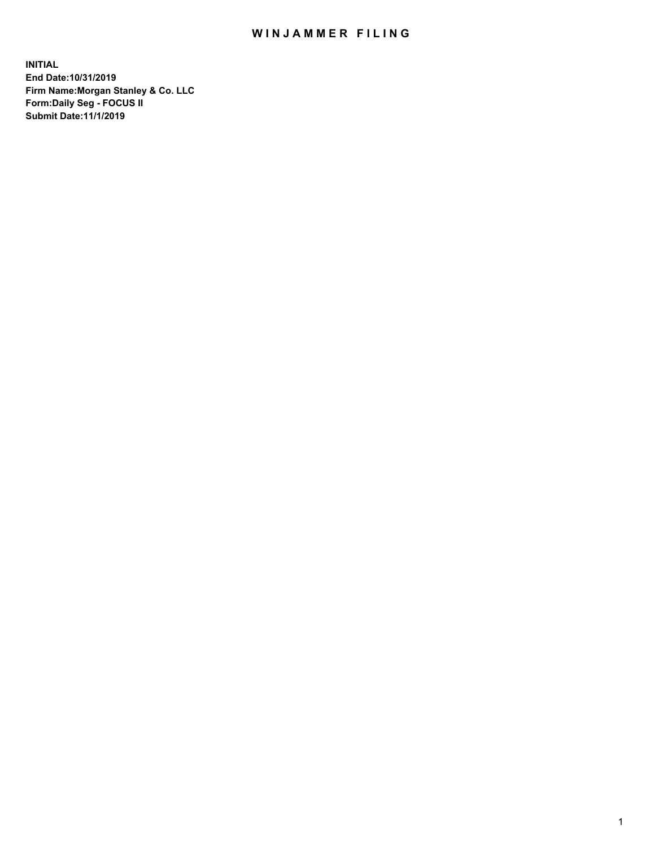## WIN JAMMER FILING

**INITIAL End Date:10/31/2019 Firm Name:Morgan Stanley & Co. LLC Form:Daily Seg - FOCUS II Submit Date:11/1/2019**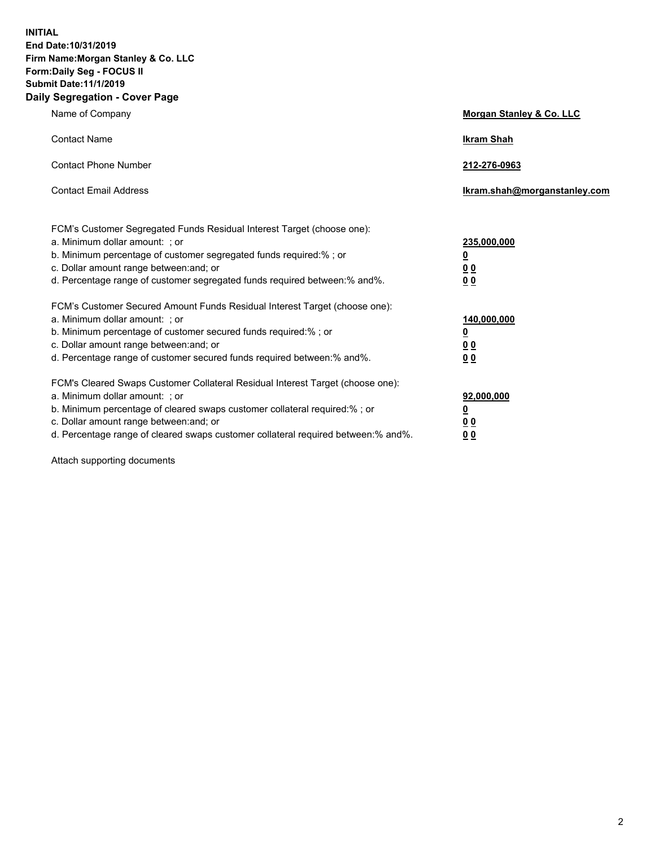**INITIAL End Date:10/31/2019 Firm Name:Morgan Stanley & Co. LLC Form:Daily Seg - FOCUS II Submit Date:11/1/2019 Daily Segregation - Cover Page**

| Name of Company                                                                   | Morgan Stanley & Co. LLC     |
|-----------------------------------------------------------------------------------|------------------------------|
| <b>Contact Name</b>                                                               | <b>Ikram Shah</b>            |
| <b>Contact Phone Number</b>                                                       | 212-276-0963                 |
| <b>Contact Email Address</b>                                                      | Ikram.shah@morganstanley.com |
| FCM's Customer Segregated Funds Residual Interest Target (choose one):            |                              |
| a. Minimum dollar amount: ; or                                                    | 235,000,000                  |
| b. Minimum percentage of customer segregated funds required:% ; or                | <u>0</u>                     |
| c. Dollar amount range between: and; or                                           | 0 <sub>0</sub>               |
| d. Percentage range of customer segregated funds required between:% and%.         | <u>00</u>                    |
| FCM's Customer Secured Amount Funds Residual Interest Target (choose one):        |                              |
| a. Minimum dollar amount: ; or                                                    | 140,000,000                  |
| b. Minimum percentage of customer secured funds required:%; or                    | <u>0</u>                     |
| c. Dollar amount range between: and; or                                           | <u>00</u>                    |
| d. Percentage range of customer secured funds required between: % and %.          | 0 <sub>0</sub>               |
| FCM's Cleared Swaps Customer Collateral Residual Interest Target (choose one):    |                              |
| a. Minimum dollar amount: ; or                                                    | 92,000,000                   |
| b. Minimum percentage of cleared swaps customer collateral required:% ; or        | <u>0</u>                     |
| c. Dollar amount range between: and; or                                           | 00                           |
| d. Percentage range of cleared swaps customer collateral required between:% and%. | 00                           |

Attach supporting documents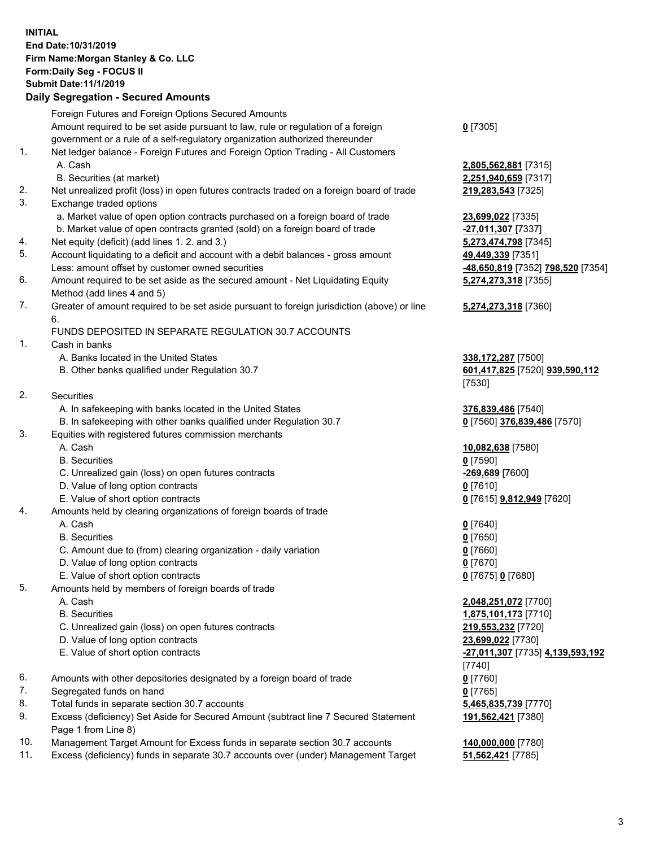## **INITIAL End Date:10/31/2019 Firm Name:Morgan Stanley & Co. LLC Form:Daily Seg - FOCUS II Submit Date:11/1/2019**

## **Daily Segregation - Secured Amounts**

|    | Foreign Futures and Foreign Options Secured Amounts                                                                          |                                            |
|----|------------------------------------------------------------------------------------------------------------------------------|--------------------------------------------|
|    | Amount required to be set aside pursuant to law, rule or regulation of a foreign                                             | $0$ [7305]                                 |
|    | government or a rule of a self-regulatory organization authorized thereunder                                                 |                                            |
| 1. | Net ledger balance - Foreign Futures and Foreign Option Trading - All Customers                                              |                                            |
|    | A. Cash                                                                                                                      | 2,805,562,881 [7315]                       |
|    | B. Securities (at market)                                                                                                    | 2,251,940,659 [7317]                       |
| 2. | Net unrealized profit (loss) in open futures contracts traded on a foreign board of trade                                    | 219,283,543 [7325]                         |
| 3. | Exchange traded options                                                                                                      |                                            |
|    | a. Market value of open option contracts purchased on a foreign board of trade                                               | 23,699,022 [7335]                          |
| 4. | b. Market value of open contracts granted (sold) on a foreign board of trade<br>Net equity (deficit) (add lines 1.2. and 3.) | -27,011,307 [7337]<br>5,273,474,798 [7345] |
| 5. | Account liquidating to a deficit and account with a debit balances - gross amount                                            | 49,449,339 [7351]                          |
|    | Less: amount offset by customer owned securities                                                                             | -48,650,819 [7352] 798,520 [7354]          |
| 6. | Amount required to be set aside as the secured amount - Net Liquidating Equity                                               | 5,274,273,318 [7355]                       |
|    | Method (add lines 4 and 5)                                                                                                   |                                            |
| 7. | Greater of amount required to be set aside pursuant to foreign jurisdiction (above) or line                                  | 5,274,273,318 [7360]                       |
|    | 6.                                                                                                                           |                                            |
|    | FUNDS DEPOSITED IN SEPARATE REGULATION 30.7 ACCOUNTS                                                                         |                                            |
| 1. | Cash in banks                                                                                                                |                                            |
|    | A. Banks located in the United States                                                                                        | 338, 172, 287 [7500]                       |
|    | B. Other banks qualified under Regulation 30.7                                                                               | 601,417,825 [7520] 939,590,112             |
|    |                                                                                                                              | [7530]                                     |
| 2. | Securities                                                                                                                   |                                            |
|    | A. In safekeeping with banks located in the United States                                                                    | 376,839,486 [7540]                         |
|    | B. In safekeeping with other banks qualified under Regulation 30.7                                                           | 0 [7560] 376,839,486 [7570]                |
| 3. | Equities with registered futures commission merchants                                                                        |                                            |
|    | A. Cash                                                                                                                      | 10,082,638 [7580]                          |
|    | <b>B.</b> Securities                                                                                                         | $0$ [7590]                                 |
|    | C. Unrealized gain (loss) on open futures contracts                                                                          | -269,689 [7600]                            |
|    | D. Value of long option contracts                                                                                            | $0$ [7610]                                 |
|    | E. Value of short option contracts                                                                                           | 0 [7615] <b>9,812,949</b> [7620]           |
| 4. | Amounts held by clearing organizations of foreign boards of trade                                                            |                                            |
|    | A. Cash                                                                                                                      | $0$ [7640]                                 |
|    | <b>B.</b> Securities                                                                                                         | $0$ [7650]                                 |
|    | C. Amount due to (from) clearing organization - daily variation                                                              | $0$ [7660]                                 |
|    | D. Value of long option contracts                                                                                            | $0$ [7670]                                 |
|    | E. Value of short option contracts                                                                                           | 0 [7675] 0 [7680]                          |
| 5. | Amounts held by members of foreign boards of trade                                                                           |                                            |
|    | A. Cash                                                                                                                      | 2,048,251,072 [7700]                       |
|    | <b>B.</b> Securities                                                                                                         | 1,875,101,173 [7710]                       |
|    | C. Unrealized gain (loss) on open futures contracts<br>D. Value of long option contracts                                     | 219,553,232 [7720]                         |
|    | E. Value of short option contracts                                                                                           | 23,699,022 [7730]                          |
|    |                                                                                                                              | -27,011,307 [7735] 4,139,593,192<br>[7740] |
| 6. | Amounts with other depositories designated by a foreign board of trade                                                       | $0$ [7760]                                 |
| 7. | Segregated funds on hand                                                                                                     | $0$ [7765]                                 |
| 8. | Total funds in separate section 30.7 accounts                                                                                | 5,465,835,739 [7770]                       |
| 9. | Excess (deficiency) Set Aside for Secured Amount (subtract line 7 Secured Statement                                          | 191,562,421 [7380]                         |
|    | Page 1 from Line 8)                                                                                                          |                                            |
|    |                                                                                                                              |                                            |

- 10. Management Target Amount for Excess funds in separate section 30.7 accounts **140,000,000** [7780]
- 11. Excess (deficiency) funds in separate 30.7 accounts over (under) Management Target **51,562,421** [7785]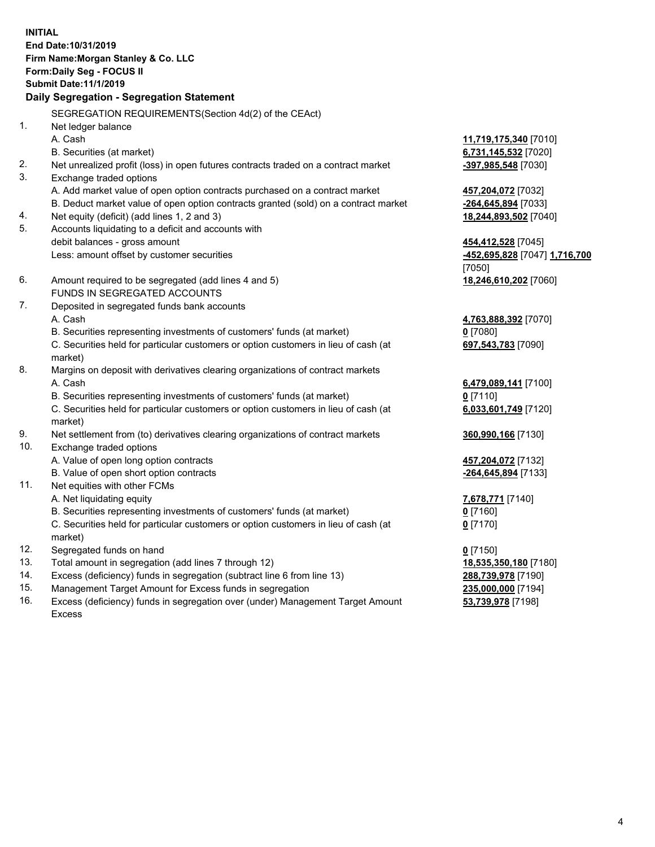**INITIAL End Date:10/31/2019 Firm Name:Morgan Stanley & Co. LLC Form:Daily Seg - FOCUS II Submit Date:11/1/2019 Daily Segregation - Segregation Statement** SEGREGATION REQUIREMENTS(Section 4d(2) of the CEAct) 1. Net ledger balance A. Cash **11,719,175,340** [7010] B. Securities (at market) **6,731,145,532** [7020] 2. Net unrealized profit (loss) in open futures contracts traded on a contract market **-397,985,548** [7030] 3. Exchange traded options A. Add market value of open option contracts purchased on a contract market **457,204,072** [7032] B. Deduct market value of open option contracts granted (sold) on a contract market **-264,645,894** [7033] 4. Net equity (deficit) (add lines 1, 2 and 3) **18,244,893,502** [7040] 5. Accounts liquidating to a deficit and accounts with debit balances - gross amount **454,412,528** [7045] Less: amount offset by customer securities **-452,695,828** [7047] **1,716,700** [7050] 6. Amount required to be segregated (add lines 4 and 5) **18,246,610,202** [7060] FUNDS IN SEGREGATED ACCOUNTS 7. Deposited in segregated funds bank accounts A. Cash **4,763,888,392** [7070] B. Securities representing investments of customers' funds (at market) **0** [7080] C. Securities held for particular customers or option customers in lieu of cash (at market) **697,543,783** [7090] 8. Margins on deposit with derivatives clearing organizations of contract markets A. Cash **6,479,089,141** [7100] B. Securities representing investments of customers' funds (at market) **0** [7110] C. Securities held for particular customers or option customers in lieu of cash (at market) **6,033,601,749** [7120] 9. Net settlement from (to) derivatives clearing organizations of contract markets **360,990,166** [7130] 10. Exchange traded options A. Value of open long option contracts **457,204,072** [7132] B. Value of open short option contracts **-264,645,894** [7133] 11. Net equities with other FCMs A. Net liquidating equity **7,678,771** [7140] B. Securities representing investments of customers' funds (at market) **0** [7160] C. Securities held for particular customers or option customers in lieu of cash (at market) **0** [7170] 12. Segregated funds on hand **0** [7150] 13. Total amount in segregation (add lines 7 through 12) **18,535,350,180** [7180] 14. Excess (deficiency) funds in segregation (subtract line 6 from line 13) **288,739,978** [7190]

- 15. Management Target Amount for Excess funds in segregation **235,000,000** [7194]
- 16. Excess (deficiency) funds in segregation over (under) Management Target Amount Excess

**53,739,978** [7198]